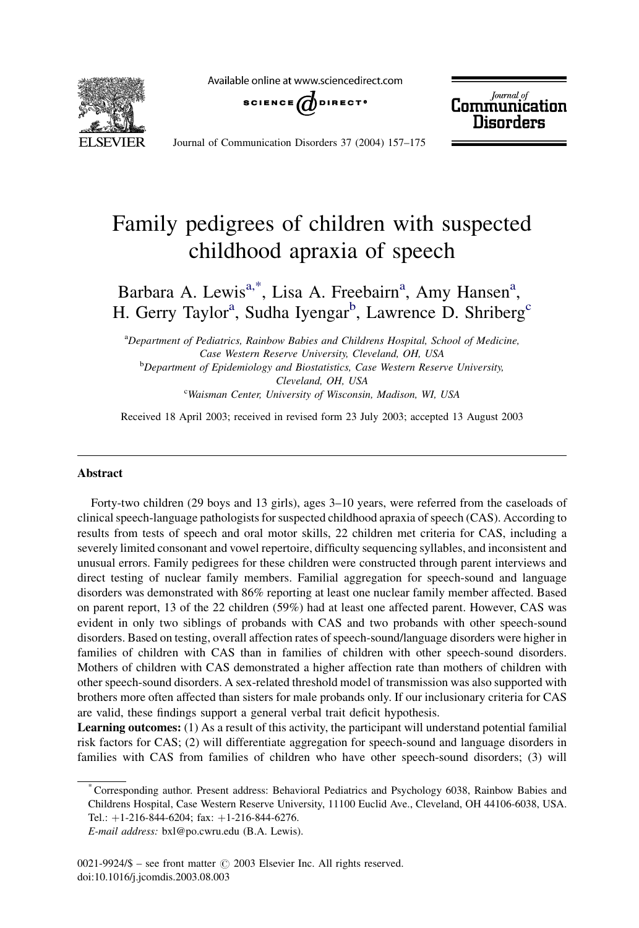Available online at www.sciencedirect.com



SCIENCE  $\omega$  direct<sup>+</sup>

Journal of Communication Disorders

Journal of Communication Disorders 37 (2004) 157–175

# Family pedigrees of children with suspected childhood apraxia of speech

Barbara A. Lewis<sup>a,\*</sup>, Lisa A. Freebairn<sup>a</sup>, Amy Hansen<sup>a</sup>, H. Gerry Taylor<sup>a</sup>, Sudha Iyengar<sup>b</sup>, Lawrence D. Shriberg<sup>c</sup>

<sup>a</sup>Department of Pediatrics, Rainbow Babies and Childrens Hospital, School of Medicine, Case Western Reserve University, Cleveland, OH, USA **b** Department of Epidemiology and Biostatistics, Case Western Reserve University, Cleveland, OH, USA <sup>c</sup>Waisman Center, University of Wisconsin, Madison, WI, USA

Received 18 April 2003; received in revised form 23 July 2003; accepted 13 August 2003

## Abstract

Forty-two children (29 boys and 13 girls), ages 3–10 years, were referred from the caseloads of clinical speech-language pathologists for suspected childhood apraxia of speech (CAS). According to results from tests of speech and oral motor skills, 22 children met criteria for CAS, including a severely limited consonant and vowel repertoire, difficulty sequencing syllables, and inconsistent and unusual errors. Family pedigrees for these children were constructed through parent interviews and direct testing of nuclear family members. Familial aggregation for speech-sound and language disorders was demonstrated with 86% reporting at least one nuclear family member affected. Based on parent report, 13 of the 22 children (59%) had at least one affected parent. However, CAS was evident in only two siblings of probands with CAS and two probands with other speech-sound disorders. Based on testing, overall affection rates of speech-sound/language disorders were higher in families of children with CAS than in families of children with other speech-sound disorders. Mothers of children with CAS demonstrated a higher affection rate than mothers of children with other speech-sound disorders. A sex-related threshold model of transmission was also supported with brothers more often affected than sisters for male probands only. If our inclusionary criteria for CAS are valid, these findings support a general verbal trait deficit hypothesis.

Learning outcomes: (1) As a result of this activity, the participant will understand potential familial risk factors for CAS; (2) will differentiate aggregation for speech-sound and language disorders in families with CAS from families of children who have other speech-sound disorders; (3) will

E-mail address: bxl@po.cwru.edu (B.A. Lewis).

<sup>\*</sup>Corresponding author. Present address: Behavioral Pediatrics and Psychology 6038, Rainbow Babies and Childrens Hospital, Case Western Reserve University, 11100 Euclid Ave., Cleveland, OH 44106-6038, USA. Tel.:  $+1-216-844-6204$ ; fax:  $+1-216-844-6276$ .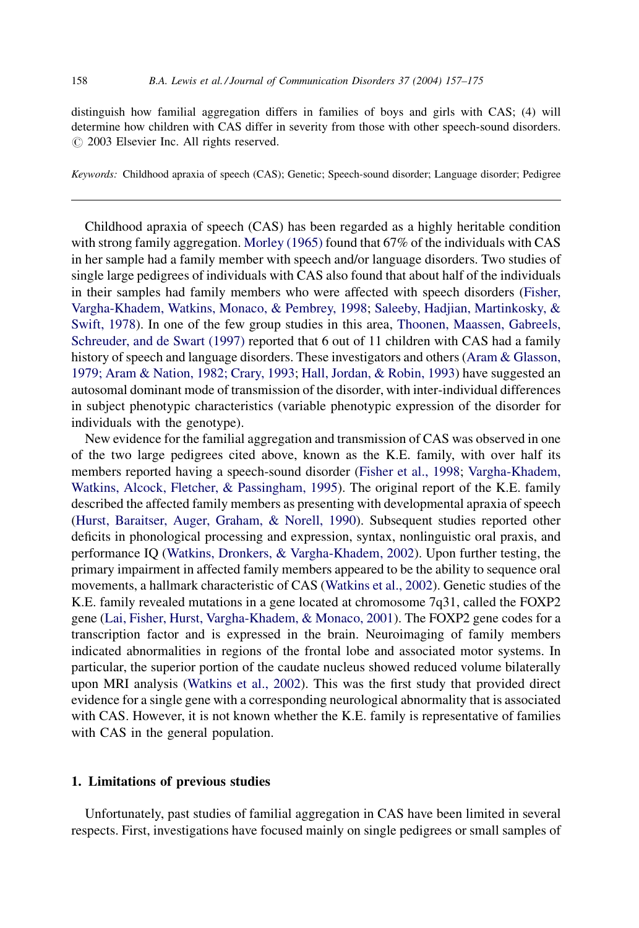distinguish how familial aggregation differs in families of boys and girls with CAS; (4) will determine how children with CAS differ in severity from those with other speech-sound disorders.  $\circ$  2003 Elsevier Inc. All rights reserved.

Keywords: Childhood apraxia of speech (CAS); Genetic; Speech-sound disorder; Language disorder; Pedigree

Childhood apraxia of speech (CAS) has been regarded as a highly heritable condition with strong family aggregation. [Morley \(1965\)](#page-17-0) found that 67% of the individuals with CAS in her sample had a family member with speech and/or language disorders. Two studies of single large pedigrees of individuals with CAS also found that about half of the individuals in their samples had family members who were affected with speech disorders ([Fisher,](#page-16-0) [Vargha-Khadem, Watkins, Monaco, & Pembrey, 1998](#page-16-0); [Saleeby, Hadjian, Martinkosky, &](#page-17-0) [Swift, 1978\)](#page-17-0). In one of the few group studies in this area, [Thoonen, Maassen, Gabreels,](#page-18-0) [Schreuder, and de Swart \(1997\)](#page-18-0) reported that 6 out of 11 children with CAS had a family history of speech and language disorders. These investigators and others ([Aram & Glasson,](#page-16-0) [1979; Aram & Nation, 1982; Crary, 1993](#page-16-0); [Hall, Jordan, & Robin, 1993](#page-17-0)) have suggested an autosomal dominant mode of transmission of the disorder, with inter-individual differences in subject phenotypic characteristics (variable phenotypic expression of the disorder for individuals with the genotype).

New evidence for the familial aggregation and transmission of CAS was observed in one of the two large pedigrees cited above, known as the K.E. family, with over half its members reported having a speech-sound disorder [\(Fisher et al., 1998](#page-16-0); [Vargha-Khadem,](#page-18-0) [Watkins, Alcock, Fletcher, & Passingham, 1995](#page-18-0)). The original report of the K.E. family described the affected family members as presenting with developmental apraxia of speech ([Hurst, Baraitser, Auger, Graham, & Norell, 1990\)](#page-17-0). Subsequent studies reported other deficits in phonological processing and expression, syntax, nonlinguistic oral praxis, and performance IQ [\(Watkins, Dronkers, & Vargha-Khadem, 2002\)](#page-18-0). Upon further testing, the primary impairment in affected family members appeared to be the ability to sequence oral movements, a hallmark characteristic of CAS [\(Watkins et al., 2002](#page-18-0)). Genetic studies of the K.E. family revealed mutations in a gene located at chromosome 7q31, called the FOXP2 gene ([Lai, Fisher, Hurst, Vargha-Khadem, & Monaco, 2001\)](#page-17-0). The FOXP2 gene codes for a transcription factor and is expressed in the brain. Neuroimaging of family members indicated abnormalities in regions of the frontal lobe and associated motor systems. In particular, the superior portion of the caudate nucleus showed reduced volume bilaterally upon MRI analysis [\(Watkins et al., 2002](#page-18-0)). This was the first study that provided direct evidence for a single gene with a corresponding neurological abnormality that is associated with CAS. However, it is not known whether the K.E. family is representative of families with CAS in the general population.

## 1. Limitations of previous studies

Unfortunately, past studies of familial aggregation in CAS have been limited in several respects. First, investigations have focused mainly on single pedigrees or small samples of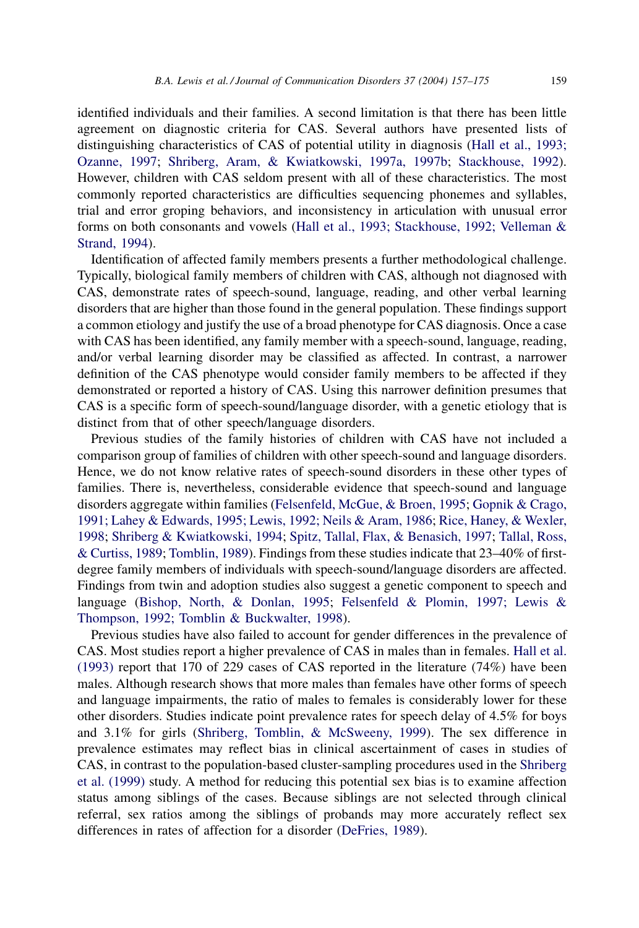identified individuals and their families. A second limitation is that there has been little agreement on diagnostic criteria for CAS. Several authors have presented lists of distinguishing characteristics of CAS of potential utility in diagnosis ([Hall et al., 1993;](#page-17-0) [Ozanne, 1997](#page-17-0); [Shriberg, Aram, & Kwiatkowski, 1997a, 1997b;](#page-17-0) [Stackhouse, 1992\)](#page-18-0). However, children with CAS seldom present with all of these characteristics. The most commonly reported characteristics are difficulties sequencing phonemes and syllables, trial and error groping behaviors, and inconsistency in articulation with unusual error forms on both consonants and vowels ([Hall et al., 1993; Stackhouse, 1992; Velleman &](#page-17-0) [Strand, 1994\)](#page-17-0).

Identification of affected family members presents a further methodological challenge. Typically, biological family members of children with CAS, although not diagnosed with CAS, demonstrate rates of speech-sound, language, reading, and other verbal learning disorders that are higher than those found in the general population. These findings support a common etiology and justify the use of a broad phenotype for CAS diagnosis. Once a case with CAS has been identified, any family member with a speech-sound, language, reading, and/or verbal learning disorder may be classified as affected. In contrast, a narrower definition of the CAS phenotype would consider family members to be affected if they demonstrated or reported a history of CAS. Using this narrower definition presumes that CAS is a specific form of speech-sound/language disorder, with a genetic etiology that is distinct from that of other speech/language disorders.

Previous studies of the family histories of children with CAS have not included a comparison group of families of children with other speech-sound and language disorders. Hence, we do not know relative rates of speech-sound disorders in these other types of families. There is, nevertheless, considerable evidence that speech-sound and language disorders aggregate within families ([Felsenfeld, McGue, & Broen, 1995;](#page-16-0) [Gopnik & Crago,](#page-17-0) [1991; Lahey & Edwards, 1995; Lewis, 1992; Neils & Aram, 1986;](#page-17-0) [Rice, Haney, & Wexler,](#page-17-0) [1998;](#page-17-0) [Shriberg & Kwiatkowski, 1994](#page-18-0); [Spitz, Tallal, Flax, & Benasich, 1997;](#page-18-0) [Tallal, Ross,](#page-18-0) [& Curtiss, 1989](#page-18-0); [Tomblin, 1989](#page-18-0)). Findings from these studies indicate that 23–40% of firstdegree family members of individuals with speech-sound/language disorders are affected. Findings from twin and adoption studies also suggest a genetic component to speech and language [\(Bishop, North, & Donlan, 1995;](#page-16-0) [Felsenfeld & Plomin, 1997; Lewis &](#page-16-0) [Thompson, 1992; Tomblin & Buckwalter, 1998](#page-16-0)).

Previous studies have also failed to account for gender differences in the prevalence of CAS. Most studies report a higher prevalence of CAS in males than in females. [Hall et al.](#page-17-0) [\(1993\)](#page-17-0) report that 170 of 229 cases of CAS reported in the literature (74%) have been males. Although research shows that more males than females have other forms of speech and language impairments, the ratio of males to females is considerably lower for these other disorders. Studies indicate point prevalence rates for speech delay of 4.5% for boys and 3.1% for girls ([Shriberg, Tomblin, & McSweeny, 1999](#page-18-0)). The sex difference in prevalence estimates may reflect bias in clinical ascertainment of cases in studies of CAS, in contrast to the population-based cluster-sampling procedures used in the [Shriberg](#page-18-0) [et al. \(1999\)](#page-18-0) study. A method for reducing this potential sex bias is to examine affection status among siblings of the cases. Because siblings are not selected through clinical referral, sex ratios among the siblings of probands may more accurately reflect sex differences in rates of affection for a disorder [\(DeFries, 1989\)](#page-16-0).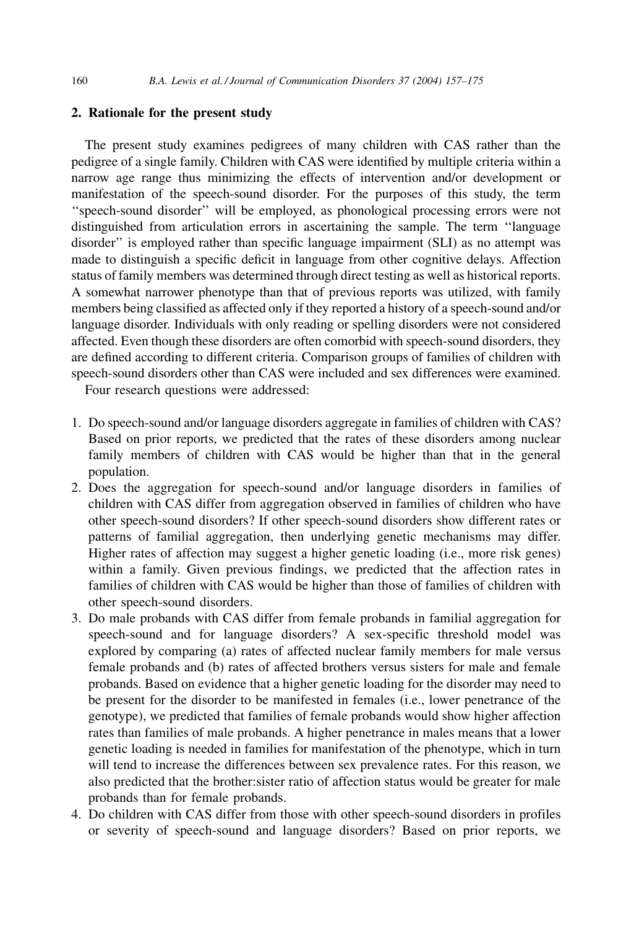## 2. Rationale for the present study

The present study examines pedigrees of many children with CAS rather than the pedigree of a single family. Children with CAS were identified by multiple criteria within a narrow age range thus minimizing the effects of intervention and/or development or manifestation of the speech-sound disorder. For the purposes of this study, the term ''speech-sound disorder'' will be employed, as phonological processing errors were not distinguished from articulation errors in ascertaining the sample. The term ''language disorder'' is employed rather than specific language impairment (SLI) as no attempt was made to distinguish a specific deficit in language from other cognitive delays. Affection status of family members was determined through direct testing as well as historical reports. A somewhat narrower phenotype than that of previous reports was utilized, with family members being classified as affected only if they reported a history of a speech-sound and/or language disorder. Individuals with only reading or spelling disorders were not considered affected. Even though these disorders are often comorbid with speech-sound disorders, they are defined according to different criteria. Comparison groups of families of children with speech-sound disorders other than CAS were included and sex differences were examined.

Four research questions were addressed:

- 1. Do speech-sound and/or language disorders aggregate in families of children with CAS? Based on prior reports, we predicted that the rates of these disorders among nuclear family members of children with CAS would be higher than that in the general population.
- 2. Does the aggregation for speech-sound and/or language disorders in families of children with CAS differ from aggregation observed in families of children who have other speech-sound disorders? If other speech-sound disorders show different rates or patterns of familial aggregation, then underlying genetic mechanisms may differ. Higher rates of affection may suggest a higher genetic loading (i.e., more risk genes) within a family. Given previous findings, we predicted that the affection rates in families of children with CAS would be higher than those of families of children with other speech-sound disorders.
- 3. Do male probands with CAS differ from female probands in familial aggregation for speech-sound and for language disorders? A sex-specific threshold model was explored by comparing (a) rates of affected nuclear family members for male versus female probands and (b) rates of affected brothers versus sisters for male and female probands. Based on evidence that a higher genetic loading for the disorder may need to be present for the disorder to be manifested in females (i.e., lower penetrance of the genotype), we predicted that families of female probands would show higher affection rates than families of male probands. A higher penetrance in males means that a lower genetic loading is needed in families for manifestation of the phenotype, which in turn will tend to increase the differences between sex prevalence rates. For this reason, we also predicted that the brother:sister ratio of affection status would be greater for male probands than for female probands.
- 4. Do children with CAS differ from those with other speech-sound disorders in profiles or severity of speech-sound and language disorders? Based on prior reports, we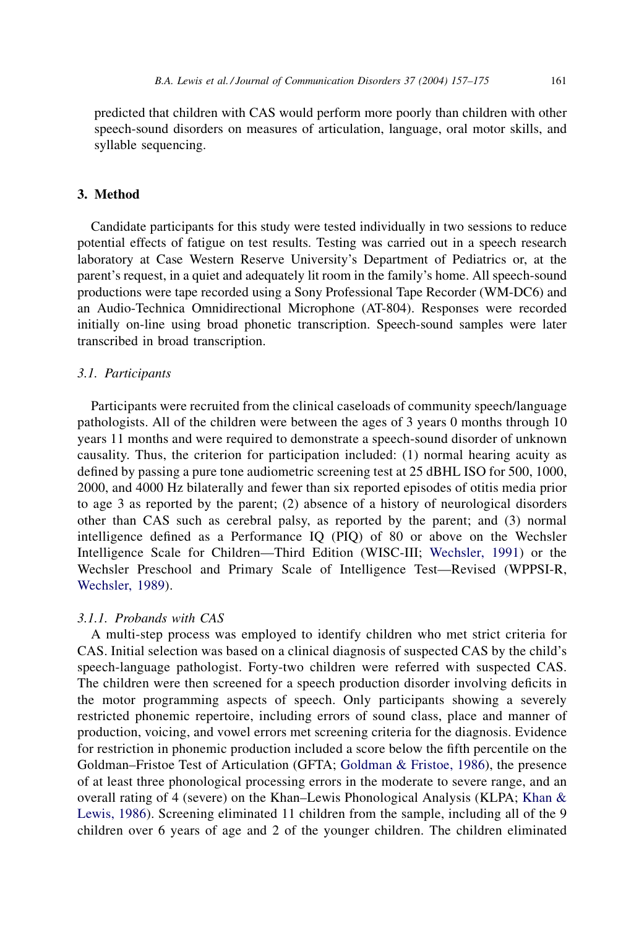predicted that children with CAS would perform more poorly than children with other speech-sound disorders on measures of articulation, language, oral motor skills, and syllable sequencing.

## 3. Method

Candidate participants for this study were tested individually in two sessions to reduce potential effects of fatigue on test results. Testing was carried out in a speech research laboratory at Case Western Reserve University's Department of Pediatrics or, at the parent's request, in a quiet and adequately lit room in the family's home. All speech-sound productions were tape recorded using a Sony Professional Tape Recorder (WM-DC6) and an Audio-Technica Omnidirectional Microphone (AT-804). Responses were recorded initially on-line using broad phonetic transcription. Speech-sound samples were later transcribed in broad transcription.

#### 3.1. Participants

Participants were recruited from the clinical caseloads of community speech/language pathologists. All of the children were between the ages of 3 years 0 months through 10 years 11 months and were required to demonstrate a speech-sound disorder of unknown causality. Thus, the criterion for participation included: (1) normal hearing acuity as defined by passing a pure tone audiometric screening test at 25 dBHL ISO for 500, 1000, 2000, and 4000 Hz bilaterally and fewer than six reported episodes of otitis media prior to age 3 as reported by the parent; (2) absence of a history of neurological disorders other than CAS such as cerebral palsy, as reported by the parent; and (3) normal intelligence defined as a Performance IQ (PIQ) of 80 or above on the Wechsler Intelligence Scale for Children—Third Edition (WISC-III; [Wechsler, 1991\)](#page-18-0) or the Wechsler Preschool and Primary Scale of Intelligence Test—Revised (WPPSI-R, [Wechsler, 1989\)](#page-18-0).

## 3.1.1. Probands with CAS

A multi-step process was employed to identify children who met strict criteria for CAS. Initial selection was based on a clinical diagnosis of suspected CAS by the child's speech-language pathologist. Forty-two children were referred with suspected CAS. The children were then screened for a speech production disorder involving deficits in the motor programming aspects of speech. Only participants showing a severely restricted phonemic repertoire, including errors of sound class, place and manner of production, voicing, and vowel errors met screening criteria for the diagnosis. Evidence for restriction in phonemic production included a score below the fifth percentile on the Goldman–Fristoe Test of Articulation (GFTA; [Goldman & Fristoe, 1986](#page-16-0)), the presence of at least three phonological processing errors in the moderate to severe range, and an overall rating of 4 (severe) on the Khan–Lewis Phonological Analysis (KLPA; [Khan &](#page-17-0) [Lewis, 1986](#page-17-0)). Screening eliminated 11 children from the sample, including all of the 9 children over 6 years of age and 2 of the younger children. The children eliminated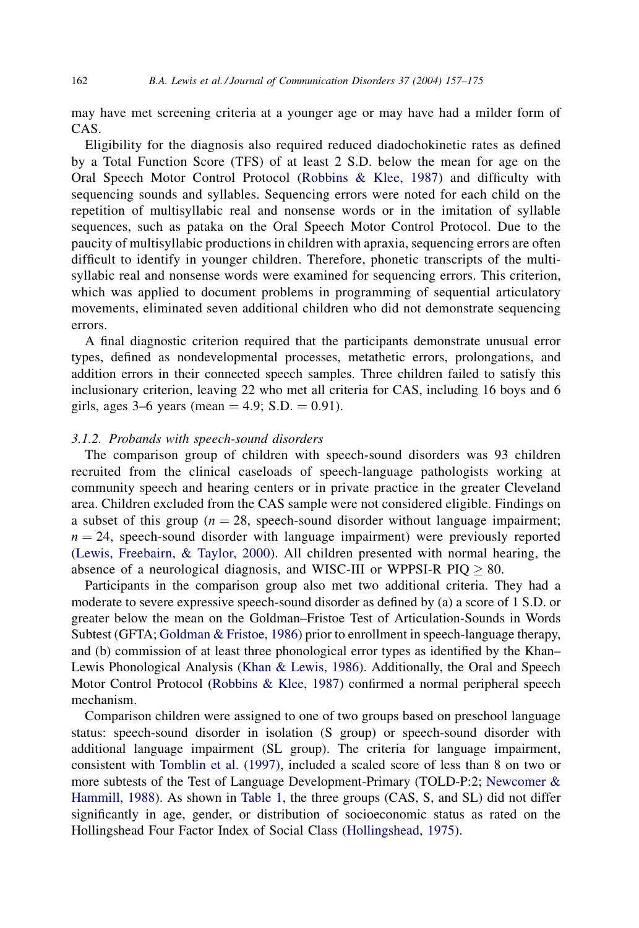may have met screening criteria at a younger age or may have had a milder form of CAS.

Eligibility for the diagnosis also required reduced diadochokinetic rates as defined by a Total Function Score (TFS) of at least 2 S.D. below the mean for age on the Oral Speech Motor Control Protocol [\(Robbins & Klee, 1987](#page-17-0)) and difficulty with sequencing sounds and syllables. Sequencing errors were noted for each child on the repetition of multisyllabic real and nonsense words or in the imitation of syllable sequences, such as pataka on the Oral Speech Motor Control Protocol. Due to the paucity of multisyllabic productions in children with apraxia, sequencing errors are often difficult to identify in younger children. Therefore, phonetic transcripts of the multisyllabic real and nonsense words were examined for sequencing errors. This criterion, which was applied to document problems in programming of sequential articulatory movements, eliminated seven additional children who did not demonstrate sequencing errors.

A final diagnostic criterion required that the participants demonstrate unusual error types, defined as nondevelopmental processes, metathetic errors, prolongations, and addition errors in their connected speech samples. Three children failed to satisfy this inclusionary criterion, leaving 22 who met all criteria for CAS, including 16 boys and 6 girls, ages  $3-6$  years (mean  $= 4.9$ ; S.D.  $= 0.91$ ).

#### 3.1.2. Probands with speech-sound disorders

The comparison group of children with speech-sound disorders was 93 children recruited from the clinical caseloads of speech-language pathologists working at community speech and hearing centers or in private practice in the greater Cleveland area. Children excluded from the CAS sample were not considered eligible. Findings on a subset of this group ( $n = 28$ , speech-sound disorder without language impairment;  $n = 24$ , speech-sound disorder with language impairment) were previously reported ([Lewis, Freebairn, & Taylor, 2000](#page-17-0)). All children presented with normal hearing, the absence of a neurological diagnosis, and WISC-III or WPPSI-R  $PIQ \geq 80$ .

Participants in the comparison group also met two additional criteria. They had a moderate to severe expressive speech-sound disorder as defined by (a) a score of 1 S.D. or greater below the mean on the Goldman–Fristoe Test of Articulation-Sounds in Words Subtest (GFTA; [Goldman & Fristoe, 1986](#page-16-0)) prior to enrollment in speech-language therapy, and (b) commission of at least three phonological error types as identified by the Khan– Lewis Phonological Analysis [\(Khan & Lewis, 1986](#page-17-0)). Additionally, the Oral and Speech Motor Control Protocol ([Robbins & Klee, 1987\)](#page-17-0) confirmed a normal peripheral speech mechanism.

Comparison children were assigned to one of two groups based on preschool language status: speech-sound disorder in isolation (S group) or speech-sound disorder with additional language impairment (SL group). The criteria for language impairment, consistent with [Tomblin et al. \(1997\)](#page-18-0), included a scaled score of less than 8 on two or more subtests of the Test of Language Development-Primary (TOLD-P:2; [Newcomer &](#page-17-0) [Hammill, 1988\)](#page-17-0). As shown in [Table 1](#page-6-0), the three groups (CAS, S, and SL) did not differ significantly in age, gender, or distribution of socioeconomic status as rated on the Hollingshead Four Factor Index of Social Class [\(Hollingshead, 1975](#page-17-0)).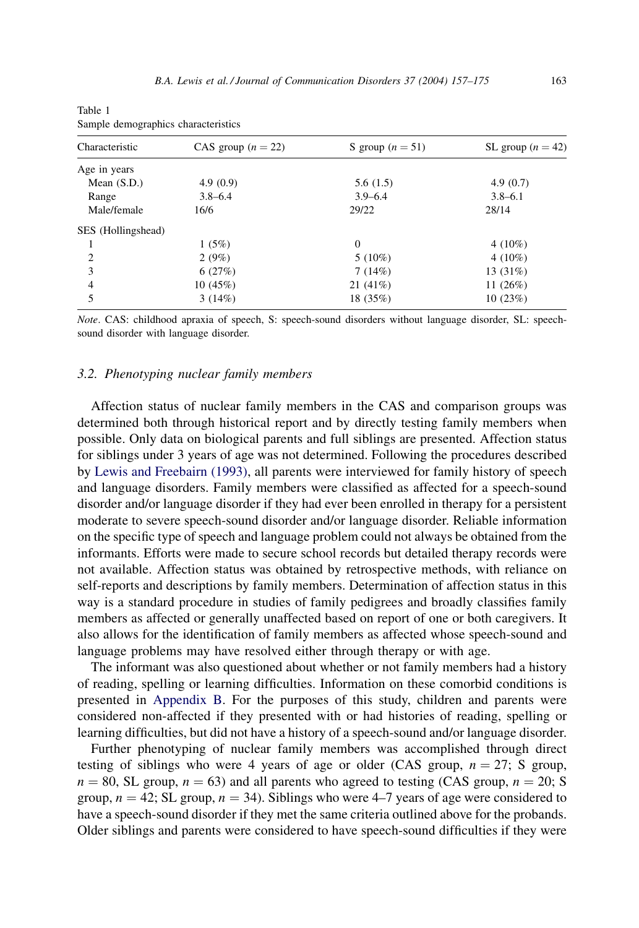| Characteristic     | CAS group $(n = 22)$ | S group $(n=51)$ | SL group $(n = 42)$ |
|--------------------|----------------------|------------------|---------------------|
| Age in years       |                      |                  |                     |
| Mean $(S.D.)$      | 4.9(0.9)             | 5.6(1.5)         | 4.9(0.7)            |
| Range              | $3.8 - 6.4$          | $3.9 - 6.4$      | $3.8 - 6.1$         |
| Male/female        | 16/6                 | 29/22            | 28/14               |
| SES (Hollingshead) |                      |                  |                     |
| 1                  | 1(5%)                | $\Omega$         | $4(10\%)$           |
| $\overline{c}$     | 2(9%)                | $5(10\%)$        | $4(10\%)$           |
| 3                  | 6(27%)               | 7(14%)           | 13 (31%)            |
| 4                  | 10(45%)              | 21(41%)          | 11 $(26%)$          |
| 5                  | 3(14%)               | 18 (35%)         | 10(23%)             |

<span id="page-6-0"></span>Table 1 Sample demographics characteristics

Note. CAS: childhood apraxia of speech, S: speech-sound disorders without language disorder, SL: speechsound disorder with language disorder.

#### 3.2. Phenotyping nuclear family members

Affection status of nuclear family members in the CAS and comparison groups was determined both through historical report and by directly testing family members when possible. Only data on biological parents and full siblings are presented. Affection status for siblings under 3 years of age was not determined. Following the procedures described by [Lewis and Freebairn \(1993\)](#page-17-0), all parents were interviewed for family history of speech and language disorders. Family members were classified as affected for a speech-sound disorder and/or language disorder if they had ever been enrolled in therapy for a persistent moderate to severe speech-sound disorder and/or language disorder. Reliable information on the specific type of speech and language problem could not always be obtained from the informants. Efforts were made to secure school records but detailed therapy records were not available. Affection status was obtained by retrospective methods, with reliance on self-reports and descriptions by family members. Determination of affection status in this way is a standard procedure in studies of family pedigrees and broadly classifies family members as affected or generally unaffected based on report of one or both caregivers. It also allows for the identification of family members as affected whose speech-sound and language problems may have resolved either through therapy or with age.

The informant was also questioned about whether or not family members had a history of reading, spelling or learning difficulties. Information on these comorbid conditions is presented in [Appendix B.](#page-15-0) For the purposes of this study, children and parents were considered non-affected if they presented with or had histories of reading, spelling or learning difficulties, but did not have a history of a speech-sound and/or language disorder.

Further phenotyping of nuclear family members was accomplished through direct testing of siblings who were 4 years of age or older (CAS group,  $n = 27$ ; S group,  $n = 80$ , SL group,  $n = 63$ ) and all parents who agreed to testing (CAS group,  $n = 20$ ; S group,  $n = 42$ ; SL group,  $n = 34$ ). Siblings who were 4–7 years of age were considered to have a speech-sound disorder if they met the same criteria outlined above for the probands. Older siblings and parents were considered to have speech-sound difficulties if they were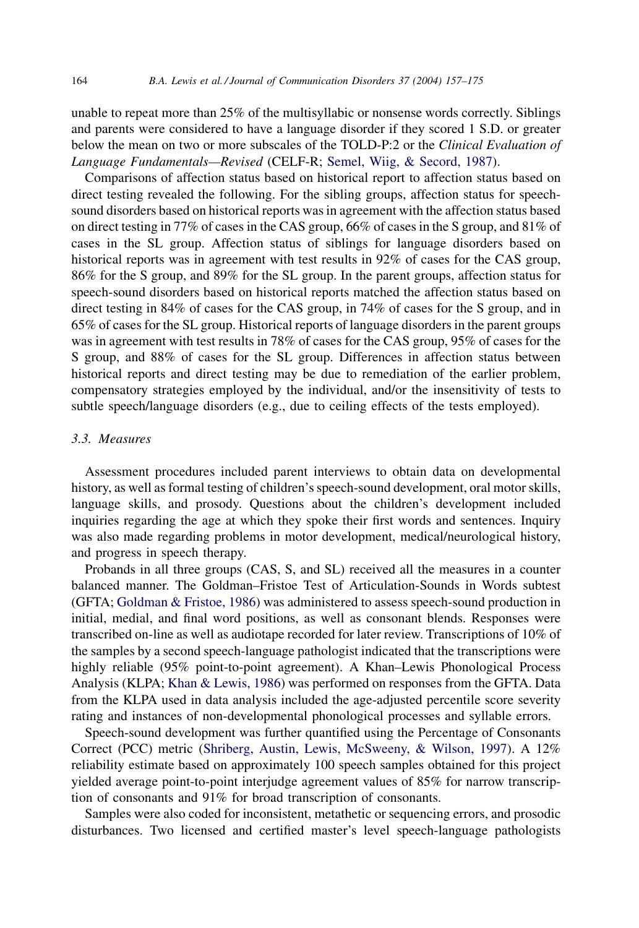unable to repeat more than 25% of the multisyllabic or nonsense words correctly. Siblings and parents were considered to have a language disorder if they scored 1 S.D. or greater below the mean on two or more subscales of the TOLD-P:2 or the *Clinical Evaluation of* Language Fundamentals—Revised (CELF-R; [Semel, Wiig, & Secord, 1987\)](#page-17-0).

Comparisons of affection status based on historical report to affection status based on direct testing revealed the following. For the sibling groups, affection status for speechsound disorders based on historical reports was in agreement with the affection status based on direct testing in 77% of cases in the CAS group, 66% of cases in the S group, and 81% of cases in the SL group. Affection status of siblings for language disorders based on historical reports was in agreement with test results in 92% of cases for the CAS group, 86% for the S group, and 89% for the SL group. In the parent groups, affection status for speech-sound disorders based on historical reports matched the affection status based on direct testing in 84% of cases for the CAS group, in 74% of cases for the S group, and in 65% of cases for the SL group. Historical reports of language disorders in the parent groups was in agreement with test results in 78% of cases for the CAS group, 95% of cases for the S group, and 88% of cases for the SL group. Differences in affection status between historical reports and direct testing may be due to remediation of the earlier problem, compensatory strategies employed by the individual, and/or the insensitivity of tests to subtle speech/language disorders (e.g., due to ceiling effects of the tests employed).

#### 3.3. Measures

Assessment procedures included parent interviews to obtain data on developmental history, as well as formal testing of children's speech-sound development, oral motor skills, language skills, and prosody. Questions about the children's development included inquiries regarding the age at which they spoke their first words and sentences. Inquiry was also made regarding problems in motor development, medical/neurological history, and progress in speech therapy.

Probands in all three groups (CAS, S, and SL) received all the measures in a counter balanced manner. The Goldman–Fristoe Test of Articulation-Sounds in Words subtest (GFTA; [Goldman & Fristoe, 1986\)](#page-16-0) was administered to assess speech-sound production in initial, medial, and final word positions, as well as consonant blends. Responses were transcribed on-line as well as audiotape recorded for later review. Transcriptions of 10% of the samples by a second speech-language pathologist indicated that the transcriptions were highly reliable (95% point-to-point agreement). A Khan–Lewis Phonological Process Analysis (KLPA; [Khan & Lewis, 1986\)](#page-17-0) was performed on responses from the GFTA. Data from the KLPA used in data analysis included the age-adjusted percentile score severity rating and instances of non-developmental phonological processes and syllable errors.

Speech-sound development was further quantified using the Percentage of Consonants Correct (PCC) metric [\(Shriberg, Austin, Lewis, McSweeny, & Wilson, 1997\)](#page-18-0). A 12% reliability estimate based on approximately 100 speech samples obtained for this project yielded average point-to-point interjudge agreement values of 85% for narrow transcription of consonants and 91% for broad transcription of consonants.

Samples were also coded for inconsistent, metathetic or sequencing errors, and prosodic disturbances. Two licensed and certified master's level speech-language pathologists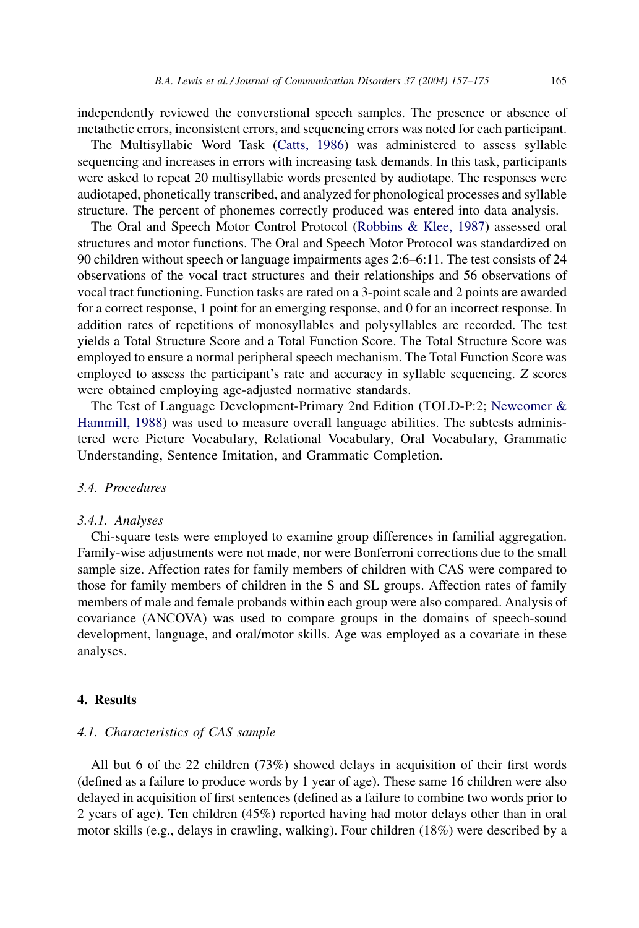independently reviewed the converstional speech samples. The presence or absence of metathetic errors, inconsistent errors, and sequencing errors was noted for each participant.

The Multisyllabic Word Task [\(Catts, 1986](#page-16-0)) was administered to assess syllable sequencing and increases in errors with increasing task demands. In this task, participants were asked to repeat 20 multisyllabic words presented by audiotape. The responses were audiotaped, phonetically transcribed, and analyzed for phonological processes and syllable structure. The percent of phonemes correctly produced was entered into data analysis.

The Oral and Speech Motor Control Protocol ([Robbins & Klee, 1987](#page-17-0)) assessed oral structures and motor functions. The Oral and Speech Motor Protocol was standardized on 90 children without speech or language impairments ages 2:6–6:11. The test consists of 24 observations of the vocal tract structures and their relationships and 56 observations of vocal tract functioning. Function tasks are rated on a 3-point scale and 2 points are awarded for a correct response, 1 point for an emerging response, and 0 for an incorrect response. In addition rates of repetitions of monosyllables and polysyllables are recorded. The test yields a Total Structure Score and a Total Function Score. The Total Structure Score was employed to ensure a normal peripheral speech mechanism. The Total Function Score was employed to assess the participant's rate and accuracy in syllable sequencing. Z scores were obtained employing age-adjusted normative standards.

The Test of Language Development-Primary 2nd Edition (TOLD-P:2; [Newcomer &](#page-17-0) [Hammill, 1988](#page-17-0)) was used to measure overall language abilities. The subtests administered were Picture Vocabulary, Relational Vocabulary, Oral Vocabulary, Grammatic Understanding, Sentence Imitation, and Grammatic Completion.

## 3.4. Procedures

#### 3.4.1. Analyses

Chi-square tests were employed to examine group differences in familial aggregation. Family-wise adjustments were not made, nor were Bonferroni corrections due to the small sample size. Affection rates for family members of children with CAS were compared to those for family members of children in the S and SL groups. Affection rates of family members of male and female probands within each group were also compared. Analysis of covariance (ANCOVA) was used to compare groups in the domains of speech-sound development, language, and oral/motor skills. Age was employed as a covariate in these analyses.

## 4. Results

#### 4.1. Characteristics of CAS sample

All but 6 of the 22 children (73%) showed delays in acquisition of their first words (defined as a failure to produce words by 1 year of age). These same 16 children were also delayed in acquisition of first sentences (defined as a failure to combine two words prior to 2 years of age). Ten children (45%) reported having had motor delays other than in oral motor skills (e.g., delays in crawling, walking). Four children (18%) were described by a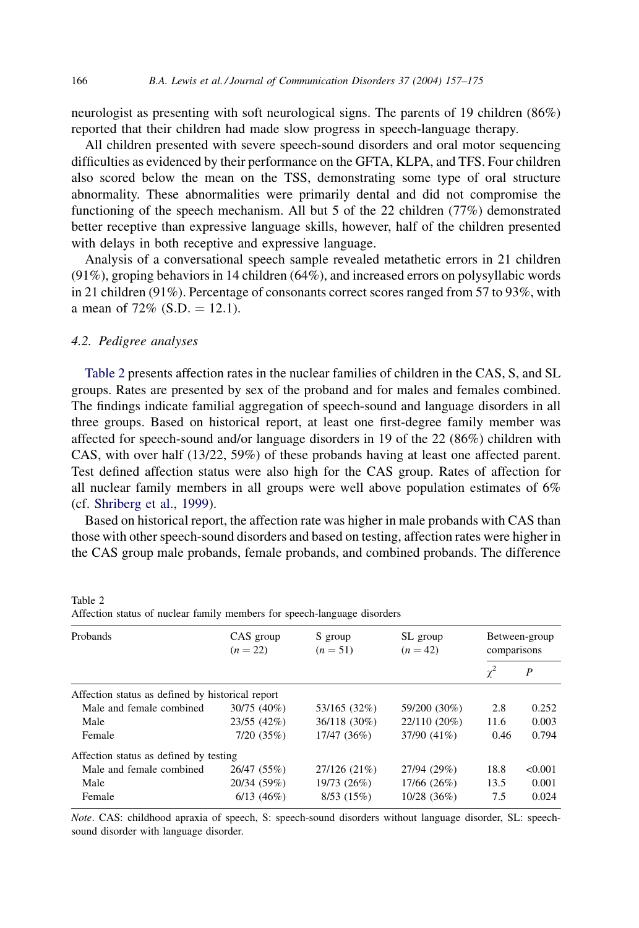neurologist as presenting with soft neurological signs. The parents of 19 children (86%) reported that their children had made slow progress in speech-language therapy.

All children presented with severe speech-sound disorders and oral motor sequencing difficulties as evidenced by their performance on the GFTA, KLPA, and TFS. Four children also scored below the mean on the TSS, demonstrating some type of oral structure abnormality. These abnormalities were primarily dental and did not compromise the functioning of the speech mechanism. All but 5 of the 22 children (77%) demonstrated better receptive than expressive language skills, however, half of the children presented with delays in both receptive and expressive language.

Analysis of a conversational speech sample revealed metathetic errors in 21 children (91%), groping behaviors in 14 children (64%), and increased errors on polysyllabic words in 21 children (91%). Percentage of consonants correct scores ranged from 57 to 93%, with a mean of  $72\%$  (S.D. = 12.1).

## 4.2. Pedigree analyses

Table 2

Table 2 presents affection rates in the nuclear families of children in the CAS, S, and SL groups. Rates are presented by sex of the proband and for males and females combined. The findings indicate familial aggregation of speech-sound and language disorders in all three groups. Based on historical report, at least one first-degree family member was affected for speech-sound and/or language disorders in 19 of the 22 (86%) children with CAS, with over half (13/22, 59%) of these probands having at least one affected parent. Test defined affection status were also high for the CAS group. Rates of affection for all nuclear family members in all groups were well above population estimates of 6% (cf. [Shriberg et al., 1999](#page-18-0)).

Based on historical report, the affection rate was higher in male probands with CAS than those with other speech-sound disorders and based on testing, affection rates were higher in the CAS group male probands, female probands, and combined probands. The difference

| Tricetion status of nuclear family includers for speech language disorders |                         |                     |                        |                              |                  |
|----------------------------------------------------------------------------|-------------------------|---------------------|------------------------|------------------------------|------------------|
| Probands                                                                   | CAS group<br>$(n = 22)$ | S group<br>$(n=51)$ | SL group<br>$(n = 42)$ | Between-group<br>comparisons |                  |
|                                                                            |                         |                     |                        | $\chi^2$                     | $\boldsymbol{P}$ |
| Affection status as defined by historical report                           |                         |                     |                        |                              |                  |
| Male and female combined                                                   | 30/75 (40%)             | 53/165 (32%)        | 59/200 (30%)           | 2.8                          | 0.252            |
| Male                                                                       | 23/55 (42%)             | 36/118 (30%)        | 22/110 (20%)           | 11.6                         | 0.003            |
| Female                                                                     | 7/20(35%)               | 17/47 (36%)         | 37/90 (41%)            | 0.46                         | 0.794            |
| Affection status as defined by testing                                     |                         |                     |                        |                              |                  |
| Male and female combined                                                   | 26/47 (55%)             | 27/126 (21%)        | 27/94 (29%)            | 18.8                         | < 0.001          |
| Male                                                                       | 20/34 (59%)             | 19/73 (26%)         | 17/66 (26%)            | 13.5                         | 0.001            |
| Female                                                                     | 6/13(46%)               | 8/53(15%)           | 10/28 (36%)            | 7.5                          | 0.024            |

Affection status of nuclear family members for speech-language disorders

Note. CAS: childhood apraxia of speech, S: speech-sound disorders without language disorder, SL: speechsound disorder with language disorder.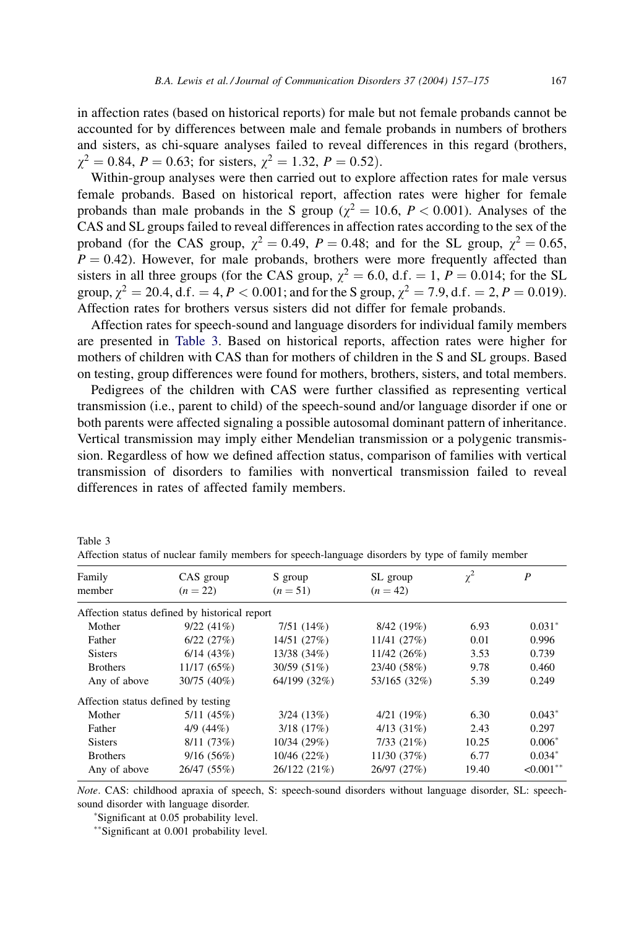in affection rates (based on historical reports) for male but not female probands cannot be accounted for by differences between male and female probands in numbers of brothers and sisters, as chi-square analyses failed to reveal differences in this regard (brothers,  $\chi^2 = 0.84, P = 0.63$ ; for sisters,  $\chi^2 = 1.32, P = 0.52$ .

Within-group analyses were then carried out to explore affection rates for male versus female probands. Based on historical report, affection rates were higher for female probands than male probands in the S group ( $\chi^2 = 10.6$ ,  $P < 0.001$ ). Analyses of the CAS and SL groups failed to reveal differences in affection rates according to the sex of the proband (for the CAS group,  $\chi^2 = 0.49$ ,  $P = 0.48$ ; and for the SL group,  $\chi^2 = 0.65$ ,  $P = 0.42$ ). However, for male probands, brothers were more frequently affected than sisters in all three groups (for the CAS group,  $\chi^2 = 6.0$ , d.f.  $= 1$ ,  $P = 0.014$ ; for the SL group,  $\chi^2 = 20.4$ , d.f. = 4, P < 0.001; and for the S group,  $\chi^2 = 7.9$ , d.f. = 2, P = 0.019). Affection rates for brothers versus sisters did not differ for female probands.

Affection rates for speech-sound and language disorders for individual family members are presented in Table 3. Based on historical reports, affection rates were higher for mothers of children with CAS than for mothers of children in the S and SL groups. Based on testing, group differences were found for mothers, brothers, sisters, and total members.

Pedigrees of the children with CAS were further classified as representing vertical transmission (i.e., parent to child) of the speech-sound and/or language disorder if one or both parents were affected signaling a possible autosomal dominant pattern of inheritance. Vertical transmission may imply either Mendelian transmission or a polygenic transmission. Regardless of how we defined affection status, comparison of families with vertical transmission of disorders to families with nonvertical transmission failed to reveal differences in rates of affected family members.

| Family<br>member                    | CAS group<br>$(n = 22)$                       | S group<br>$(n = 51)$ | SL group<br>$(n = 42)$ | $\chi^2$ | P            |
|-------------------------------------|-----------------------------------------------|-----------------------|------------------------|----------|--------------|
|                                     | Affection status defined by historical report |                       |                        |          |              |
| Mother                              | 9/22(41%)                                     | 7/51(14%)             | 8/42 (19%)             | 6.93     | $0.031*$     |
| Father                              | 6/22(27%)                                     | 14/51 (27%)           | 11/41 (27%)            | 0.01     | 0.996        |
| <b>Sisters</b>                      | 6/14(43%)                                     | 13/38 (34%)           | 11/42 (26%)            | 3.53     | 0.739        |
| <b>Brothers</b>                     | 11/17(65%)                                    | 30/59 (51%)           | 23/40 (58%)            | 9.78     | 0.460        |
| Any of above                        | 30/75 (40%)                                   | 64/199 (32%)          | 53/165 (32%)           | 5.39     | 0.249        |
| Affection status defined by testing |                                               |                       |                        |          |              |
| Mother                              | 5/11(45%)                                     | 3/24(13%)             | 4/21(19%)              | 6.30     | $0.043*$     |
| Father                              | 4/9(44%)                                      | 3/18(17%)             | 4/13(31%)              | 2.43     | 0.297        |
| <b>Sisters</b>                      | 8/11(73%)                                     | 10/34(29%)            | 7/33(21%)              | 10.25    | $0.006*$     |
| <b>Brothers</b>                     | 9/16(56%)                                     | 10/46 (22%)           | 11/30 (37%)            | 6.77     | $0.034*$     |
| Any of above                        | 26/47 (55%)                                   | 26/122 (21%)          | 26/97 (27%)            | 19.40    | $< 0.001$ ** |

Affection status of nuclear family members for speech-language disorders by type of family member

Note. CAS: childhood apraxia of speech, S: speech-sound disorders without language disorder, SL: speechsound disorder with language disorder.

Significant at 0.05 probability level.

Table 3

Significant at 0.001 probability level.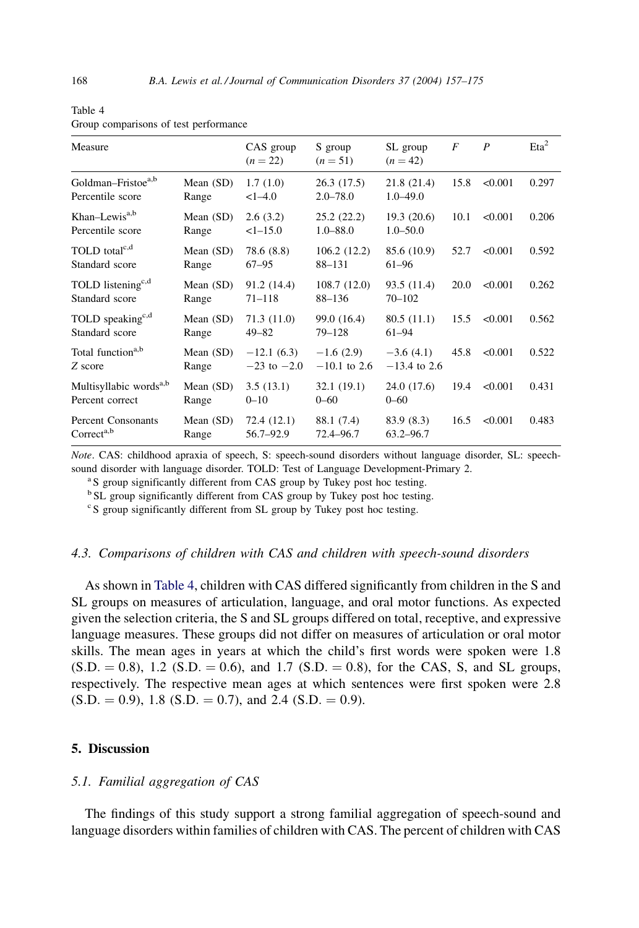| Measure                                               |                      | CAS group<br>$(n = 22)$         | S group<br>$(n=51)$           | SL group<br>$(n = 42)$        | F    | $\boldsymbol{P}$ | $Eta^2$ |
|-------------------------------------------------------|----------------------|---------------------------------|-------------------------------|-------------------------------|------|------------------|---------|
| Goldman-Fristoe <sup>a,b</sup><br>Percentile score    | Mean $(SD)$<br>Range | 1.7(1.0)<br>$<1-4.0$            | 26.3(17.5)<br>$2.0 - 78.0$    | 21.8 (21.4)<br>$1.0 - 49.0$   | 15.8 | < 0.001          | 0.297   |
| Khan-Lewis <sup>a,b</sup><br>Percentile score         | Mean $(SD)$<br>Range | 2.6(3.2)<br>$<1-15.0$           | 25.2(22.2)<br>$1.0 - 88.0$    | 19.3(20.6)<br>$1.0 - 50.0$    | 10.1 | < 0.001          | 0.206   |
| TOLD total <sup>c,d</sup><br>Standard score           | Mean $(SD)$<br>Range | 78.6 (8.8)<br>$67 - 95$         | 106.2(12.2)<br>88-131         | 85.6 (10.9)<br>$61 - 96$      | 52.7 | < 0.001          | 0.592   |
| TOLD listening <sup>c,d</sup><br>Standard score       | Mean $(SD)$<br>Range | 91.2 (14.4)<br>$71 - 118$       | 108.7(12.0)<br>88-136         | 93.5 (11.4)<br>$70 - 102$     | 20.0 | < 0.001          | 0.262   |
| TOLD speaking <sup>c,d</sup><br>Standard score        | Mean $(SD)$<br>Range | 71.3(11.0)<br>$49 - 82$         | 99.0 (16.4)<br>$79 - 128$     | 80.5(11.1)<br>$61 - 94$       | 15.5 | < 0.001          | 0.562   |
| Total function <sup>a,b</sup><br>Z score              | Mean $(SD)$<br>Range | $-12.1(6.3)$<br>$-23$ to $-2.0$ | $-1.6(2.9)$<br>$-10.1$ to 2.6 | $-3.6(4.1)$<br>$-13.4$ to 2.6 | 45.8 | < 0.001          | 0.522   |
| Multisyllabic words <sup>a,b</sup><br>Percent correct | Mean $(SD)$<br>Range | 3.5(13.1)<br>$0 - 10$           | 32.1(19.1)<br>$0 - 60$        | 24.0 (17.6)<br>$0 - 60$       | 19.4 | < 0.001          | 0.431   |
| Percent Consonants<br>Correct <sup>a,b</sup>          | Mean $(SD)$<br>Range | 72.4 (12.1)<br>56.7-92.9        | 88.1 (7.4)<br>72.4–96.7       | 83.9 (8.3)<br>$63.2 - 96.7$   | 16.5 | < 0.001          | 0.483   |

| rable 4 |                                       |
|---------|---------------------------------------|
|         | Group comparisons of test performance |

Note. CAS: childhood apraxia of speech, S: speech-sound disorders without language disorder, SL: speechsound disorder with language disorder. TOLD: Test of Language Development-Primary 2.<br><sup>a</sup> S group significantly different from CAS group by Tukey post hoc testing.

<sup>b</sup> SL group significantly different from CAS group by Tukey post hoc testing.

<sup>c</sup>S group significantly different from SL group by Tukey post hoc testing.

## 4.3. Comparisons of children with CAS and children with speech-sound disorders

As shown in Table 4, children with CAS differed significantly from children in the S and SL groups on measures of articulation, language, and oral motor functions. As expected given the selection criteria, the S and SL groups differed on total, receptive, and expressive language measures. These groups did not differ on measures of articulation or oral motor skills. The mean ages in years at which the child's first words were spoken were 1.8  $(S.D. = 0.8)$ , 1.2  $(S.D. = 0.6)$ , and 1.7  $(S.D. = 0.8)$ , for the CAS, S, and SL groups, respectively. The respective mean ages at which sentences were first spoken were 2.8  $(S.D. = 0.9)$ , 1.8  $(S.D. = 0.7)$ , and 2.4  $(S.D. = 0.9)$ .

## 5. Discussion

## 5.1. Familial aggregation of CAS

The findings of this study support a strong familial aggregation of speech-sound and language disorders within families of children with CAS. The percent of children with CAS

 $T_1$   $T_2$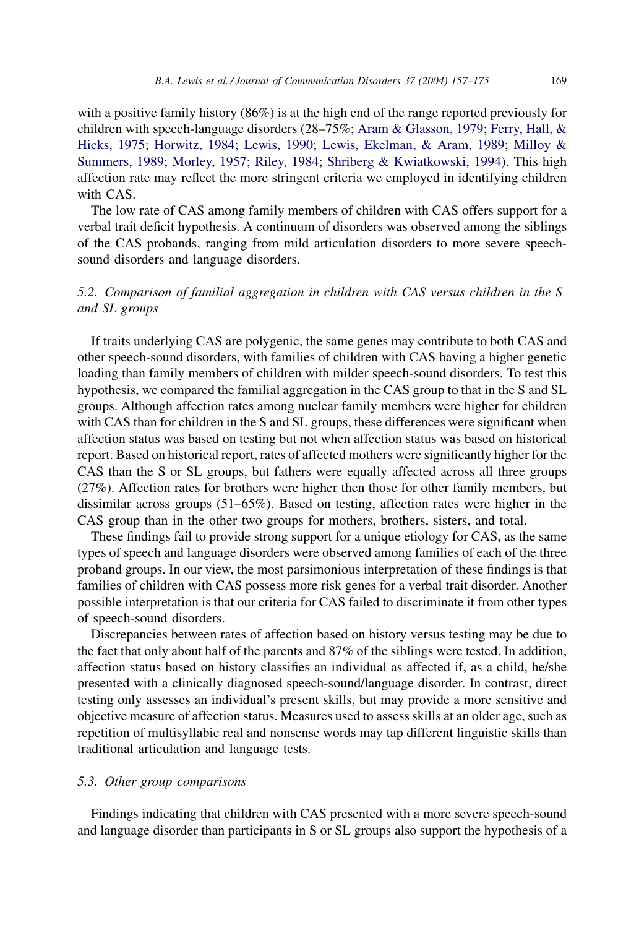with a positive family history (86%) is at the high end of the range reported previously for children with speech-language disorders (28–75%; [Aram & Glasson, 1979](#page-16-0); [Ferry, Hall, &](#page-16-0) [Hicks, 1975](#page-16-0); [Horwitz, 1984; Lewis, 1990](#page-17-0); [Lewis, Ekelman, & Aram, 1989;](#page-17-0) [Milloy &](#page-17-0) [Summers, 1989; Morley, 1957; Riley, 1984;](#page-17-0) [Shriberg & Kwiatkowski, 1994](#page-18-0)). This high affection rate may reflect the more stringent criteria we employed in identifying children with CAS.

The low rate of CAS among family members of children with CAS offers support for a verbal trait deficit hypothesis. A continuum of disorders was observed among the siblings of the CAS probands, ranging from mild articulation disorders to more severe speechsound disorders and language disorders.

## 5.2. Comparison of familial aggregation in children with CAS versus children in the S and SL groups

If traits underlying CAS are polygenic, the same genes may contribute to both CAS and other speech-sound disorders, with families of children with CAS having a higher genetic loading than family members of children with milder speech-sound disorders. To test this hypothesis, we compared the familial aggregation in the CAS group to that in the S and SL groups. Although affection rates among nuclear family members were higher for children with CAS than for children in the S and SL groups, these differences were significant when affection status was based on testing but not when affection status was based on historical report. Based on historical report, rates of affected mothers were significantly higher for the CAS than the S or SL groups, but fathers were equally affected across all three groups (27%). Affection rates for brothers were higher then those for other family members, but dissimilar across groups (51–65%). Based on testing, affection rates were higher in the CAS group than in the other two groups for mothers, brothers, sisters, and total.

These findings fail to provide strong support for a unique etiology for CAS, as the same types of speech and language disorders were observed among families of each of the three proband groups. In our view, the most parsimonious interpretation of these findings is that families of children with CAS possess more risk genes for a verbal trait disorder. Another possible interpretation is that our criteria for CAS failed to discriminate it from other types of speech-sound disorders.

Discrepancies between rates of affection based on history versus testing may be due to the fact that only about half of the parents and 87% of the siblings were tested. In addition, affection status based on history classifies an individual as affected if, as a child, he/she presented with a clinically diagnosed speech-sound/language disorder. In contrast, direct testing only assesses an individual's present skills, but may provide a more sensitive and objective measure of affection status. Measures used to assess skills at an older age, such as repetition of multisyllabic real and nonsense words may tap different linguistic skills than traditional articulation and language tests.

## 5.3. Other group comparisons

Findings indicating that children with CAS presented with a more severe speech-sound and language disorder than participants in S or SL groups also support the hypothesis of a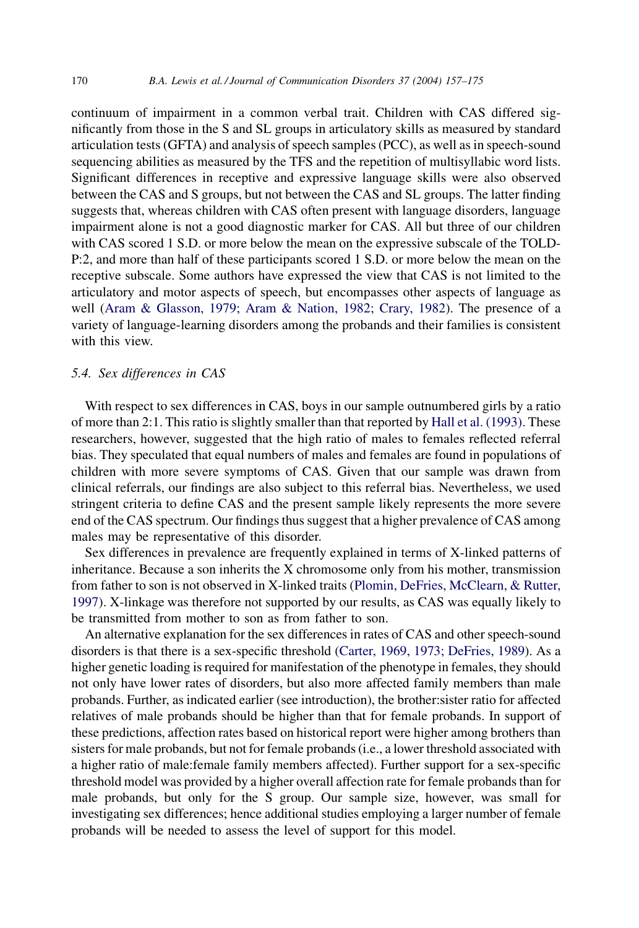continuum of impairment in a common verbal trait. Children with CAS differed significantly from those in the S and SL groups in articulatory skills as measured by standard articulation tests (GFTA) and analysis of speech samples (PCC), as well as in speech-sound sequencing abilities as measured by the TFS and the repetition of multisyllabic word lists. Significant differences in receptive and expressive language skills were also observed between the CAS and S groups, but not between the CAS and SL groups. The latter finding suggests that, whereas children with CAS often present with language disorders, language impairment alone is not a good diagnostic marker for CAS. All but three of our children with CAS scored 1 S.D. or more below the mean on the expressive subscale of the TOLD-P:2, and more than half of these participants scored 1 S.D. or more below the mean on the receptive subscale. Some authors have expressed the view that CAS is not limited to the articulatory and motor aspects of speech, but encompasses other aspects of language as well ([Aram & Glasson, 1979; Aram & Nation, 1982; Crary, 1982\)](#page-16-0). The presence of a variety of language-learning disorders among the probands and their families is consistent with this view.

## 5.4. Sex differences in CAS

With respect to sex differences in CAS, boys in our sample outnumbered girls by a ratio of more than 2:1. This ratio is slightly smaller than that reported by [Hall et al. \(1993\).](#page-17-0) These researchers, however, suggested that the high ratio of males to females reflected referral bias. They speculated that equal numbers of males and females are found in populations of children with more severe symptoms of CAS. Given that our sample was drawn from clinical referrals, our findings are also subject to this referral bias. Nevertheless, we used stringent criteria to define CAS and the present sample likely represents the more severe end of the CAS spectrum. Our findings thus suggest that a higher prevalence of CAS among males may be representative of this disorder.

Sex differences in prevalence are frequently explained in terms of X-linked patterns of inheritance. Because a son inherits the X chromosome only from his mother, transmission from father to son is not observed in X-linked traits ([Plomin, DeFries, McClearn, & Rutter,](#page-17-0) [1997](#page-17-0)). X-linkage was therefore not supported by our results, as CAS was equally likely to be transmitted from mother to son as from father to son.

An alternative explanation for the sex differences in rates of CAS and other speech-sound disorders is that there is a sex-specific threshold ([Carter, 1969, 1973; DeFries, 1989](#page-16-0)). As a higher genetic loading is required for manifestation of the phenotype in females, they should not only have lower rates of disorders, but also more affected family members than male probands. Further, as indicated earlier (see introduction), the brother:sister ratio for affected relatives of male probands should be higher than that for female probands. In support of these predictions, affection rates based on historical report were higher among brothers than sisters for male probands, but not for female probands (i.e., a lower threshold associated with a higher ratio of male:female family members affected). Further support for a sex-specific threshold model was provided by a higher overall affection rate for female probands than for male probands, but only for the S group. Our sample size, however, was small for investigating sex differences; hence additional studies employing a larger number of female probands will be needed to assess the level of support for this model.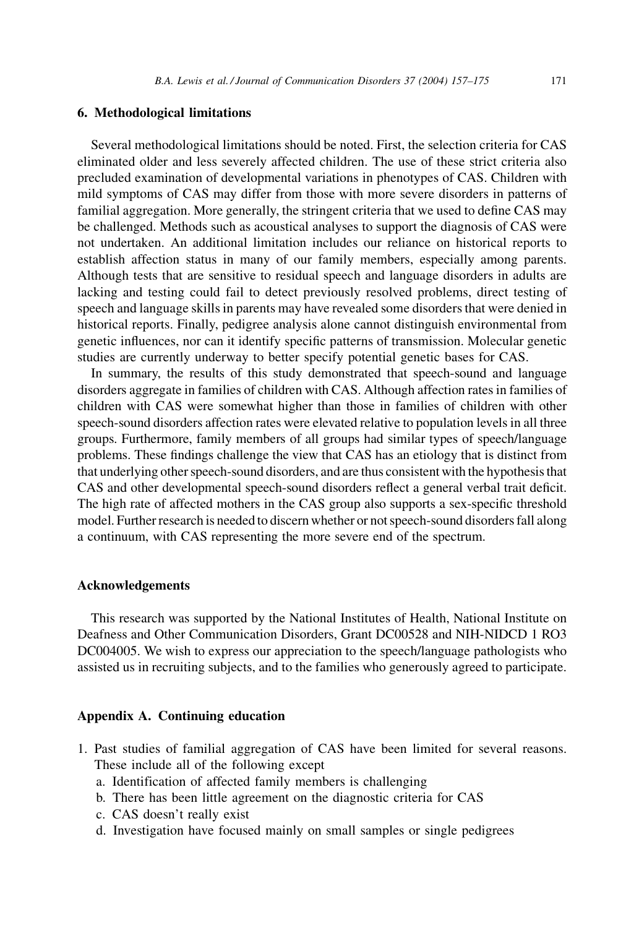## 6. Methodological limitations

Several methodological limitations should be noted. First, the selection criteria for CAS eliminated older and less severely affected children. The use of these strict criteria also precluded examination of developmental variations in phenotypes of CAS. Children with mild symptoms of CAS may differ from those with more severe disorders in patterns of familial aggregation. More generally, the stringent criteria that we used to define CAS may be challenged. Methods such as acoustical analyses to support the diagnosis of CAS were not undertaken. An additional limitation includes our reliance on historical reports to establish affection status in many of our family members, especially among parents. Although tests that are sensitive to residual speech and language disorders in adults are lacking and testing could fail to detect previously resolved problems, direct testing of speech and language skills in parents may have revealed some disorders that were denied in historical reports. Finally, pedigree analysis alone cannot distinguish environmental from genetic influences, nor can it identify specific patterns of transmission. Molecular genetic studies are currently underway to better specify potential genetic bases for CAS.

In summary, the results of this study demonstrated that speech-sound and language disorders aggregate in families of children with CAS. Although affection rates in families of children with CAS were somewhat higher than those in families of children with other speech-sound disorders affection rates were elevated relative to population levels in all three groups. Furthermore, family members of all groups had similar types of speech/language problems. These findings challenge the view that CAS has an etiology that is distinct from that underlying other speech-sound disorders, and are thus consistent with the hypothesis that CAS and other developmental speech-sound disorders reflect a general verbal trait deficit. The high rate of affected mothers in the CAS group also supports a sex-specific threshold model. Further research is needed to discern whether or not speech-sound disorders fall along a continuum, with CAS representing the more severe end of the spectrum.

## Acknowledgements

This research was supported by the National Institutes of Health, National Institute on Deafness and Other Communication Disorders, Grant DC00528 and NIH-NIDCD 1 RO3 DC004005. We wish to express our appreciation to the speech/language pathologists who assisted us in recruiting subjects, and to the families who generously agreed to participate.

## Appendix A. Continuing education

- 1. Past studies of familial aggregation of CAS have been limited for several reasons. These include all of the following except
	- a. Identification of affected family members is challenging
	- b. There has been little agreement on the diagnostic criteria for CAS
	- c. CAS doesn't really exist
	- d. Investigation have focused mainly on small samples or single pedigrees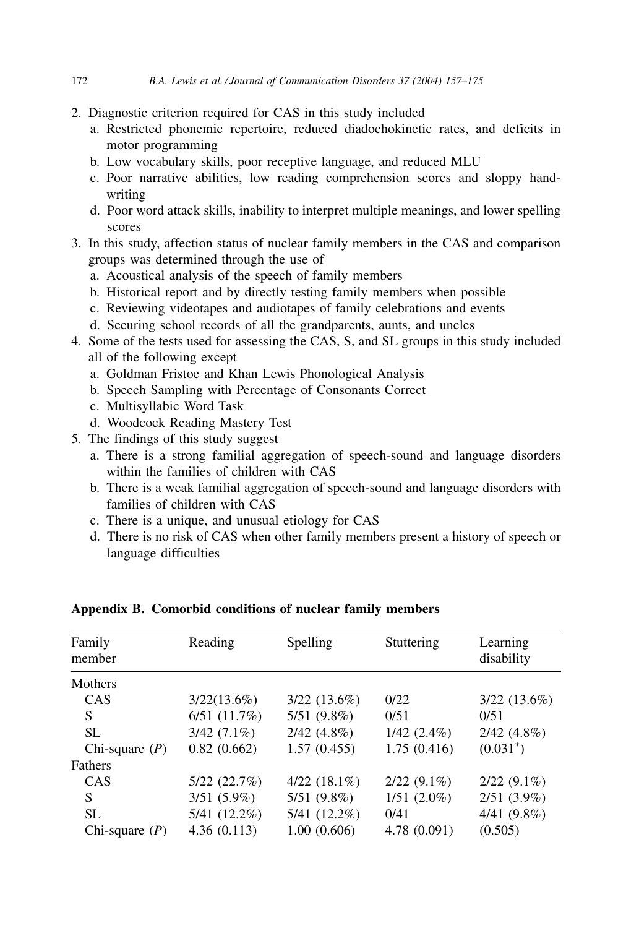- <span id="page-15-0"></span>2. Diagnostic criterion required for CAS in this study included
	- a. Restricted phonemic repertoire, reduced diadochokinetic rates, and deficits in motor programming
	- b. Low vocabulary skills, poor receptive language, and reduced MLU
	- c. Poor narrative abilities, low reading comprehension scores and sloppy handwriting
	- d. Poor word attack skills, inability to interpret multiple meanings, and lower spelling scores
- 3. In this study, affection status of nuclear family members in the CAS and comparison groups was determined through the use of
	- a. Acoustical analysis of the speech of family members
	- b. Historical report and by directly testing family members when possible
	- c. Reviewing videotapes and audiotapes of family celebrations and events
	- d. Securing school records of all the grandparents, aunts, and uncles
- 4. Some of the tests used for assessing the CAS, S, and SL groups in this study included all of the following except
	- a. Goldman Fristoe and Khan Lewis Phonological Analysis
	- b. Speech Sampling with Percentage of Consonants Correct
	- c. Multisyllabic Word Task
	- d. Woodcock Reading Mastery Test
- 5. The findings of this study suggest
	- a. There is a strong familial aggregation of speech-sound and language disorders within the families of children with CAS
	- b. There is a weak familial aggregation of speech-sound and language disorders with families of children with CAS
	- c. There is a unique, and unusual etiology for CAS
	- d. There is no risk of CAS when other family members present a history of speech or language difficulties

| Family<br>member | Reading          | Spelling          | Stuttering       | Learning<br>disability |
|------------------|------------------|-------------------|------------------|------------------------|
| <b>Mothers</b>   |                  |                   |                  |                        |
| CAS              | $3/22(13.6\%)$   | $3/22$ $(13.6\%)$ | 0/22             | $3/22(13.6\%)$         |
| S                | $6/51$ $(11.7%)$ | 5/51(9.8%)        | 0/51             | 0/51                   |
| SL.              | $3/42$ $(7.1\%)$ | $2/42(4.8\%)$     | $1/42$ $(2.4\%)$ | $2/42(4.8\%)$          |
| Chi-square $(P)$ | 0.82(0.662)      | 1.57(0.455)       | 1.75(0.416)      | $(0.031^*)$            |
| <b>Fathers</b>   |                  |                   |                  |                        |
| CAS              | 5/22(22.7%)      | $4/22(18.1\%)$    | $2/22$ (9.1%)    | $2/22$ (9.1%)          |
| S                | $3/51(5.9\%)$    | $5/51(9.8\%)$     | $1/51(2.0\%)$    | $2/51(3.9\%)$          |
| SL.              | 5/41 (12.2%)     | 5/41 (12.2%)      | 0/41             | 4/41(9.8%)             |
| Chi-square $(P)$ | 4.36(0.113)      | 1.00(0.606)       | 4.78(0.091)      | (0.505)                |

## Appendix B. Comorbid conditions of nuclear family members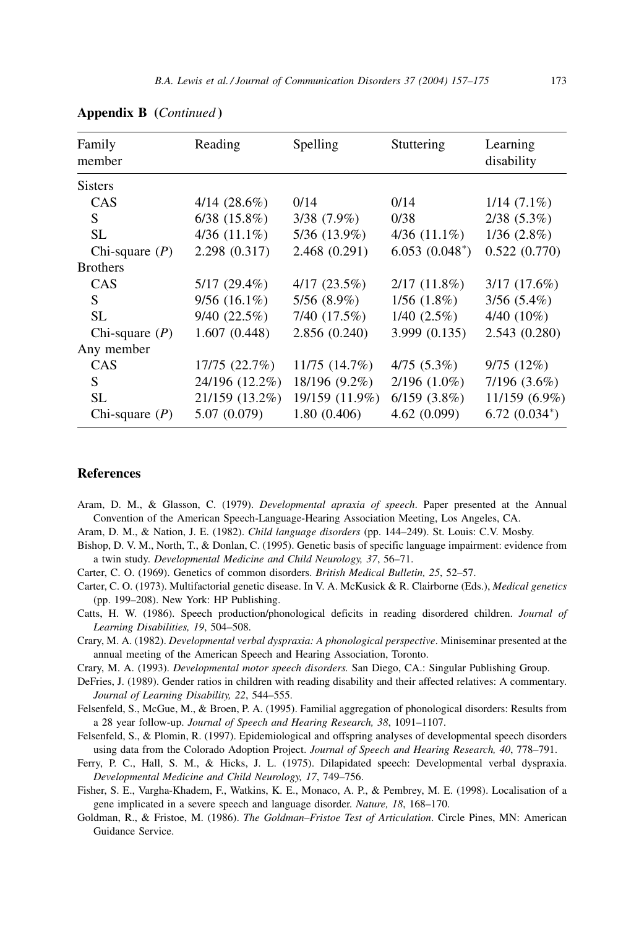| Family<br>member | Reading           | Spelling          | Stuttering        | Learning<br>disability |
|------------------|-------------------|-------------------|-------------------|------------------------|
| <b>Sisters</b>   |                   |                   |                   |                        |
| CAS              | $4/14$ (28.6%)    | 0/14              | 0/14              | $1/14(7.1\%)$          |
| S                | $6/38$ $(15.8\%)$ | 3/38 (7.9%)       | 0/38              | $2/38(5.3\%)$          |
| <b>SL</b>        | $4/36$ $(11.1\%)$ | $5/36$ (13.9%)    | $4/36$ $(11.1\%)$ | $1/36$ $(2.8\%)$       |
| Chi-square $(P)$ | 2.298 (0.317)     | 2.468 (0.291)     | $6.053(0.048^*)$  | 0.522(0.770)           |
| <b>Brothers</b>  |                   |                   |                   |                        |
| <b>CAS</b>       | $5/17(29.4\%)$    | 4/17(23.5%)       | $2/17(11.8\%)$    | 3/17(17.6%)            |
| S                | $9/56(16.1\%)$    | 5/56(8.9%)        | $1/56(1.8\%)$     | $3/56(5.4\%)$          |
| <b>SL</b>        | $9/40$ (22.5%)    | $7/40$ $(17.5\%)$ | $1/40$ $(2.5\%)$  | $4/40(10\%)$           |
| Chi-square $(P)$ | 1.607(0.448)      | 2.856 (0.240)     | 3.999 (0.135)     | 2.543(0.280)           |
| Any member       |                   |                   |                   |                        |
| <b>CAS</b>       | 17/75 (22.7%)     | 11/75(14.7%)      | $4/75(5.3\%)$     | 9/75(12%)              |
| S                | 24/196 (12.2%)    | 18/196 (9.2%)     | $2/196$ $(1.0\%)$ | $7/196(3.6\%)$         |
| SL.              | 21/159 (13.2%)    | 19/159 (11.9%)    | 6/159(3.8%)       | 11/159 (6.9%)          |
| Chi-square $(P)$ | 5.07(0.079)       | 1.80(0.406)       | 4.62(0.099)       | $6.72(0.034^*)$        |

## <span id="page-16-0"></span>Appendix B (Continued)

## References

- Aram, D. M., & Glasson, C. (1979). Developmental apraxia of speech. Paper presented at the Annual Convention of the American Speech-Language-Hearing Association Meeting, Los Angeles, CA.
- Aram, D. M., & Nation, J. E. (1982). Child language disorders (pp. 144–249). St. Louis: C.V. Mosby.
- Bishop, D. V. M., North, T., & Donlan, C. (1995). Genetic basis of specific language impairment: evidence from a twin study. Developmental Medicine and Child Neurology, 37, 56–71.
- Carter, C. O. (1969). Genetics of common disorders. British Medical Bulletin, 25, 52–57.
- Carter, C. O. (1973). Multifactorial genetic disease. In V. A. McKusick & R. Clairborne (Eds.), Medical genetics (pp. 199–208). New York: HP Publishing.
- Catts, H. W. (1986). Speech production/phonological deficits in reading disordered children. Journal of Learning Disabilities, 19, 504–508.
- Crary, M. A. (1982). Developmental verbal dyspraxia: A phonological perspective. Miniseminar presented at the annual meeting of the American Speech and Hearing Association, Toronto.
- Crary, M. A. (1993). Developmental motor speech disorders. San Diego, CA.: Singular Publishing Group.
- DeFries, J. (1989). Gender ratios in children with reading disability and their affected relatives: A commentary. Journal of Learning Disability, 22, 544–555.
- Felsenfeld, S., McGue, M., & Broen, P. A. (1995). Familial aggregation of phonological disorders: Results from a 28 year follow-up. Journal of Speech and Hearing Research, 38, 1091-1107.
- Felsenfeld, S., & Plomin, R. (1997). Epidemiological and offspring analyses of developmental speech disorders using data from the Colorado Adoption Project. Journal of Speech and Hearing Research, 40, 778-791.
- Ferry, P. C., Hall, S. M., & Hicks, J. L. (1975). Dilapidated speech: Developmental verbal dyspraxia. Developmental Medicine and Child Neurology, 17, 749–756.
- Fisher, S. E., Vargha-Khadem, F., Watkins, K. E., Monaco, A. P., & Pembrey, M. E. (1998). Localisation of a gene implicated in a severe speech and language disorder. Nature, 18, 168–170.
- Goldman, R., & Fristoe, M. (1986). The Goldman–Fristoe Test of Articulation. Circle Pines, MN: American Guidance Service.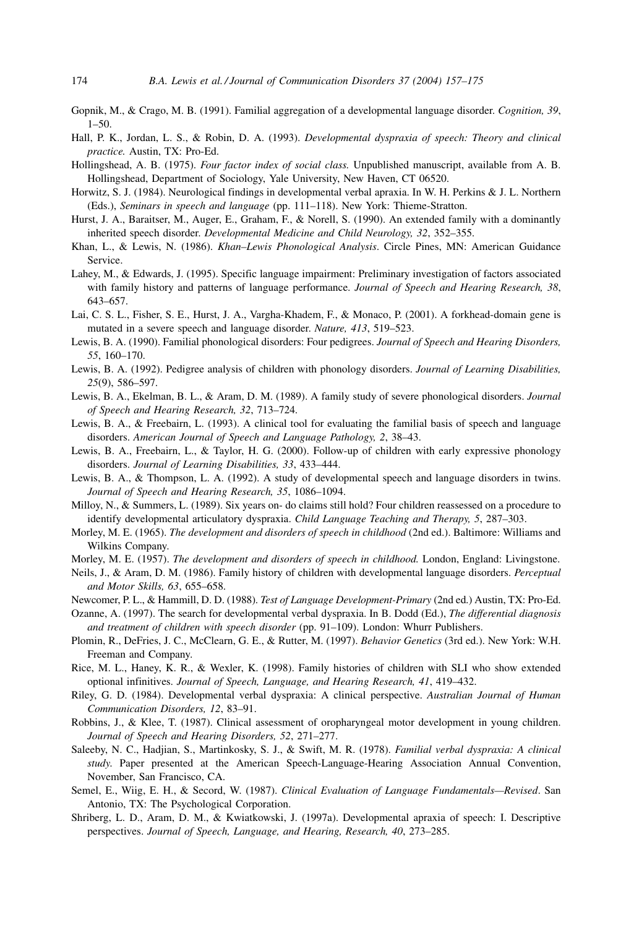- Gopnik, M., & Crago, M. B. (1991). Familial aggregation of a developmental language disorder. Cognition, 39,  $1 - 50.$
- Hall, P. K., Jordan, L. S., & Robin, D. A. (1993). Developmental dyspraxia of speech: Theory and clinical practice. Austin, TX: Pro-Ed.
- Hollingshead, A. B. (1975). Four factor index of social class. Unpublished manuscript, available from A. B. Hollingshead, Department of Sociology, Yale University, New Haven, CT 06520.
- Horwitz, S. J. (1984). Neurological findings in developmental verbal apraxia. In W. H. Perkins & J. L. Northern (Eds.), Seminars in speech and language (pp. 111–118). New York: Thieme-Stratton.
- Hurst, J. A., Baraitser, M., Auger, E., Graham, F., & Norell, S. (1990). An extended family with a dominantly inherited speech disorder. Developmental Medicine and Child Neurology, 32, 352–355.
- Khan, L., & Lewis, N. (1986). Khan–Lewis Phonological Analysis. Circle Pines, MN: American Guidance Service.
- Lahey, M., & Edwards, J. (1995). Specific language impairment: Preliminary investigation of factors associated with family history and patterns of language performance. Journal of Speech and Hearing Research, 38, 643–657.
- Lai, C. S. L., Fisher, S. E., Hurst, J. A., Vargha-Khadem, F., & Monaco, P. (2001). A forkhead-domain gene is mutated in a severe speech and language disorder. Nature, 413, 519–523.
- Lewis, B. A. (1990). Familial phonological disorders: Four pedigrees. Journal of Speech and Hearing Disorders, 55, 160–170.
- Lewis, B. A. (1992). Pedigree analysis of children with phonology disorders. Journal of Learning Disabilities, 25(9), 586–597.
- Lewis, B. A., Ekelman, B. L., & Aram, D. M. (1989). A family study of severe phonological disorders. Journal of Speech and Hearing Research, 32, 713–724.
- Lewis, B. A., & Freebairn, L. (1993). A clinical tool for evaluating the familial basis of speech and language disorders. American Journal of Speech and Language Pathology, 2, 38–43.
- Lewis, B. A., Freebairn, L., & Taylor, H. G. (2000). Follow-up of children with early expressive phonology disorders. Journal of Learning Disabilities, 33, 433–444.
- Lewis, B. A., & Thompson, L. A. (1992). A study of developmental speech and language disorders in twins. Journal of Speech and Hearing Research, 35, 1086–1094.
- Milloy, N., & Summers, L. (1989). Six years on- do claims still hold? Four children reassessed on a procedure to identify developmental articulatory dyspraxia. Child Language Teaching and Therapy, 5, 287–303.
- Morley, M. E. (1965). The development and disorders of speech in childhood (2nd ed.). Baltimore: Williams and Wilkins Company.
- Morley, M. E. (1957). The development and disorders of speech in childhood. London, England: Livingstone.
- Neils, J., & Aram, D. M. (1986). Family history of children with developmental language disorders. Perceptual and Motor Skills, 63, 655–658.
- Newcomer, P. L., & Hammill, D. D. (1988). Test of Language Development-Primary (2nd ed.) Austin, TX: Pro-Ed.
- Ozanne, A. (1997). The search for developmental verbal dyspraxia. In B. Dodd (Ed.), The differential diagnosis and treatment of children with speech disorder (pp. 91–109). London: Whurr Publishers.
- Plomin, R., DeFries, J. C., McClearn, G. E., & Rutter, M. (1997). Behavior Genetics (3rd ed.). New York: W.H. Freeman and Company.
- Rice, M. L., Haney, K. R., & Wexler, K. (1998). Family histories of children with SLI who show extended optional infinitives. Journal of Speech, Language, and Hearing Research, 41, 419–432.
- Riley, G. D. (1984). Developmental verbal dyspraxia: A clinical perspective. Australian Journal of Human Communication Disorders, 12, 83–91.
- Robbins, J., & Klee, T. (1987). Clinical assessment of oropharyngeal motor development in young children. Journal of Speech and Hearing Disorders, 52, 271–277.
- Saleeby, N. C., Hadjian, S., Martinkosky, S. J., & Swift, M. R. (1978). Familial verbal dyspraxia: A clinical study. Paper presented at the American Speech-Language-Hearing Association Annual Convention, November, San Francisco, CA.
- Semel, E., Wiig, E. H., & Secord, W. (1987). Clinical Evaluation of Language Fundamentals—Revised. San Antonio, TX: The Psychological Corporation.
- Shriberg, L. D., Aram, D. M., & Kwiatkowski, J. (1997a). Developmental apraxia of speech: I. Descriptive perspectives. Journal of Speech, Language, and Hearing, Research, 40, 273–285.

<span id="page-17-0"></span>